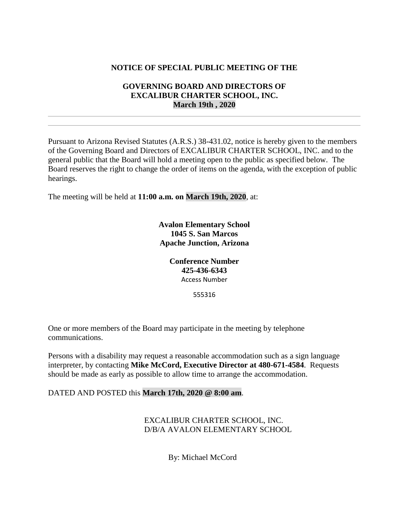## **NOTICE OF SPECIAL PUBLIC MEETING OF THE**

## **GOVERNING BOARD AND DIRECTORS OF EXCALIBUR CHARTER SCHOOL, INC. March 19th , 2020**

Pursuant to Arizona Revised Statutes (A.R.S.) 38-431.02, notice is hereby given to the members of the Governing Board and Directors of EXCALIBUR CHARTER SCHOOL, INC. and to the general public that the Board will hold a meeting open to the public as specified below. The Board reserves the right to change the order of items on the agenda, with the exception of public hearings.

The meeting will be held at **11:00 a.m. on March 19th, 2020**, at:

**Avalon Elementary School 1045 S. San Marcos Apache Junction, Arizona**

> **Conference Number 425-436-6343** Access Number

> > 555316

One or more members of the Board may participate in the meeting by telephone communications.

Persons with a disability may request a reasonable accommodation such as a sign language interpreter, by contacting **Mike McCord, Executive Director at 480-671-4584**. Requests should be made as early as possible to allow time to arrange the accommodation.

DATED AND POSTED this **March 17th, 2020 @ 8:00 am**.

EXCALIBUR CHARTER SCHOOL, INC. D/B/A AVALON ELEMENTARY SCHOOL

By: Michael McCord